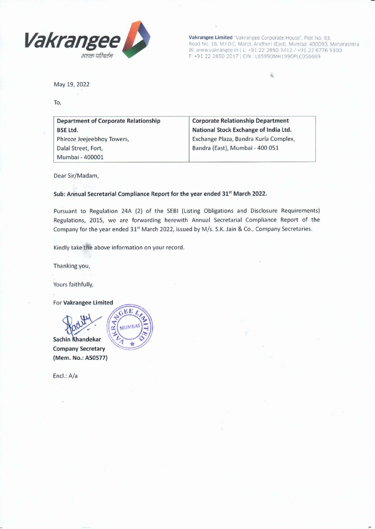

**Vakrangee Limited** ~Vakrangee Corporate House'. Plot No. 93. Road No. 16, M.I.D.C, Marol, Andheri (East), Mumbai 400093, Maharashtra W: www.vakrangee.in | L: +91 22 2850 3412 / +91 22 6776 5100 F: +91 22 2850 2017 | CIN : L65990MH1990PLC056669

Ł

May 19, 2022

To,

| <b>Department of Corporate Relationship</b> | <b>Corporate Relationship Department</b> |
|---------------------------------------------|------------------------------------------|
| <b>BSE Ltd.</b>                             | National Stock Exchange of India Ltd.    |
| Phiroze Jeejeebhoy Towers,                  | Exchange Plaza, Bandra Kurla Complex,    |
| Dalal Street, Fort,                         | Bandra (East), Mumbai - 400 051          |
| Mumbai - 400001                             |                                          |

Dear Sir/Madam,

## Sub: Annual Secretarial Compliance Report for the year ended 31" March 2022.

Pursuant to Regulation 24A (2) of the SEBI (Listing Obligations and Disclosure Requirements) Regulations, 2015, we are forwarding herewith Annual Secretarial Compliance Report of the Company for the year ended 31<sup>st</sup> March 2022, issued by M/s. S.K. Jain & Co., Company Secretaries.

Kindly take the above information on your record.

Thanking you,

Yours faithfully,

For Vakrangee Limited



(Mem. No.: AS0577)

Enel.: A/a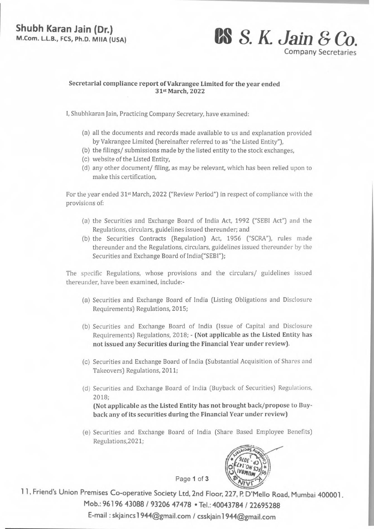## **Shubh Karan Jain (Dr.)**<br>M.Com. L.L.B., FCS, Ph.D. MIIA (USA)

## **88** *S. K. Jain & Co.*

Company Secretaries

## Secretarial compliance report of Vakrangee Limited for the year ended 31st March, 2022

I, Shubhkaran Jain, Practicing Company Secretary, have examined:

- (a) all the documents and records made available to us and explanation provided by Vakrangee Limited (hereinafter referred to as "the Listed Entity"),
- (b) the filings/ submissions made by the listed entity to the stock exchanges,
- (c) website of the Listed Entity,
- (d) any other document/ filing, as may be relevant, which has been relied upon to make this certification,

For the year ended 31" March, 2022 ("Review Period") in respect of compliance with the provisions of:

- (a) the Securities and Exchange Board of India Act, 1992 ("SEBI Act") and the Regulations, circulars, guidelines issued thereunder; and
- (b) the Securities Contracts (Regulation) Act, 1956 ("SCRA"), rules made thereunder and the Regulations, circulars, guidelines issued thereunder by the Securities and Exchange Board of India("SEBI");

The specific Regulations, whose provisions and the circulars/ guidelines issued thereunder, have been examined, include:-

- (a) Securities and Exchange Board of India (Listing Obligations and Disclosure Requirements) Regulations, 2015;
- (b) Securities and Exchange Board of India (Issue of Capital and Disclosure Requirements) Regulations, 2018; - (Not applicable as the Listed Entity has not issued any Securities during the Financial Year under review).
- (c) Securities and Exchange Board of India (Substantial Acquisition of Shares and Takeovers) Regulations, 2011;
- (d) Securities and Exchange Board of India (Buyback of Securities) Regulations, 2018;

(Not applicable as the Listed Entity has not brought back/propose to Buyback any of its securities during the Financial Year under review)

(e) Securities and Exchange Board of India (Share Based Employee Benefits) Regulations,2021;



Page 1 of 3

11, Friend's Union Premises Co-operative Society Ltd, 2nd Floor, 227, P. D'Mello Road, Mumbai 400001. Mob.: 96196 43088 / 93206 47478 · Tel.: 40043784 / 22695288 E-mail: skjaincs1944@gmail.com/csskjain1944@gmail.com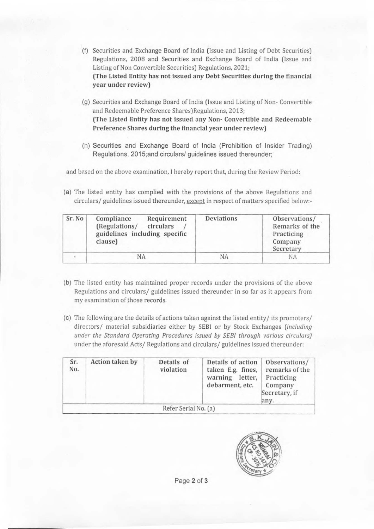- (f) Securities and Exchange Board of India (Issue and Listing of Debt Securities) Regulations, 2008 and Securities and Exchange Board of India (Issue and Listing of Non Convertible Securities) Regulations, 2021; (The Listed Entity has not issued any Debt Securities during the financial year under review)
- (g) Securities and Exchange Board of India (Issue and Listing of Non- Convertible and Redeemable Preference Shares)Regulations, 2013; (The Listed Entity has not issued any Non- Convertible and Redeemable Preference Shares during the financial year under review)
- (h) Securities and Exchange Board of India (Prohibition of Insider Trading) Regulations, 2015;and circulars/ guidelines issued thereunder;

and based on the above examination, I hereby report that, during the Review Period:

(a) The listed entity has complied with the provisions of the above Regulations and circulars/ guidelines issued thereunder, except in respect of matters specified below:-

| Sr. No | Requirement<br>Compliance<br>(Regulations/<br>circulars<br>guidelines including specific<br>clause) | Deviations | Observations/<br>Remarks of the<br>Practicing<br>Company<br>Secretary |
|--------|-----------------------------------------------------------------------------------------------------|------------|-----------------------------------------------------------------------|
|        | <b>NA</b>                                                                                           | <b>NA</b>  | NA                                                                    |

- (b) The listed entity has maintained proper records under the provisions of the above Regulations and circulars/ guidelines issued thereunder in so far as it appears from my examination of those records.
- (c) The following are the details of actions taken against the listed entity/ its promoters/ directors/ material subsidiaries either by SEBI or by Stock Exchanges *(including under the Standard Operating Procedures issued by SEBI through various circulars)*  under the aforesaid Acts/Regulations and circulars/guidelines issued thereunder:

| Sr.<br>No. | Action taken by | Details of<br>violation | Details of action<br>taken E.g. fines,<br>warning<br>letter,<br>debarment, etc. | Observations/<br>remarks of the<br>Practicing<br>Company<br>Secretary, if<br>any. |
|------------|-----------------|-------------------------|---------------------------------------------------------------------------------|-----------------------------------------------------------------------------------|
|            |                 | Refer Serial No. (a)    |                                                                                 |                                                                                   |